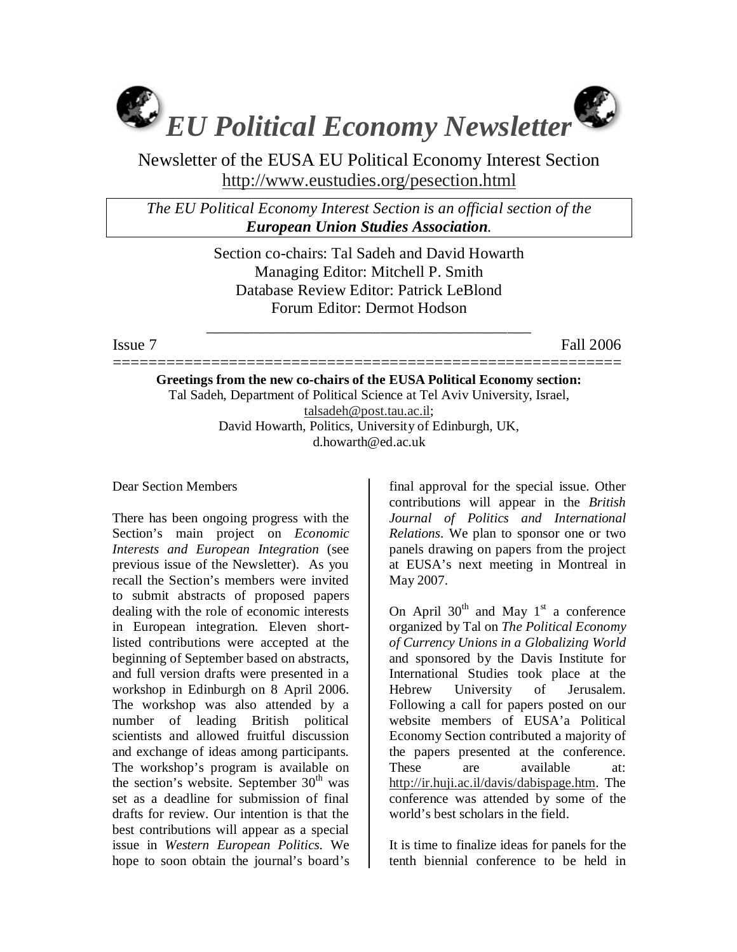

Newsletter of the EUSA EU Political Economy Interest Section http://www.eustudies.org/pesection.html

*The EU Political Economy Interest Section is an official section of the European Union Studies Association.* 

> Section co-chairs: Tal Sadeh and David Howarth Managing Editor: Mitchell P. Smith Database Review Editor: Patrick LeBlond Forum Editor: Dermot Hodson

\_\_\_\_\_\_\_\_\_\_\_\_\_\_\_\_\_\_\_\_\_\_\_\_\_\_\_\_\_\_\_\_\_\_\_\_\_\_\_\_\_

Issue 7 Fall 2006

========================================================= **Greetings from the new co-chairs of the EUSA Political Economy section:**  Tal Sadeh, Department of Political Science at Tel Aviv University, Israel, talsadeh@post.tau.ac.il; David Howarth, Politics, University of Edinburgh, UK, d.howarth@ed.ac.uk

Dear Section Members

There has been ongoing progress with the Section's main project on *Economic Interests and European Integration* (see previous issue of the Newsletter). As you recall the Section's members were invited to submit abstracts of proposed papers dealing with the role of economic interests in European integration. Eleven shortlisted contributions were accepted at the beginning of September based on abstracts, and full version drafts were presented in a workshop in Edinburgh on 8 April 2006. The workshop was also attended by a number of leading British political scientists and allowed fruitful discussion and exchange of ideas among participants. The workshop's program is available on the section's website. September  $30<sup>th</sup>$  was set as a deadline for submission of final drafts for review. Our intention is that the best contributions will appear as a special issue in *Western European Politics*. We hope to soon obtain the journal's board's

final approval for the special issue. Other contributions will appear in the *British Journal of Politics and International Relations*. We plan to sponsor one or two panels drawing on papers from the project at EUSA's next meeting in Montreal in May 2007.

On April  $30<sup>th</sup>$  and May 1<sup>st</sup> a conference organized by Tal on *The Political Economy of Currency Unions in a Globalizing World* and sponsored by the Davis Institute for International Studies took place at the Hebrew University of Jerusalem. Following a call for papers posted on our website members of EUSA'a Political Economy Section contributed a majority of the papers presented at the conference. These are available at: http://ir.huji.ac.il/davis/dabispage.htm. The conference was attended by some of the world's best scholars in the field.

It is time to finalize ideas for panels for the tenth biennial conference to be held in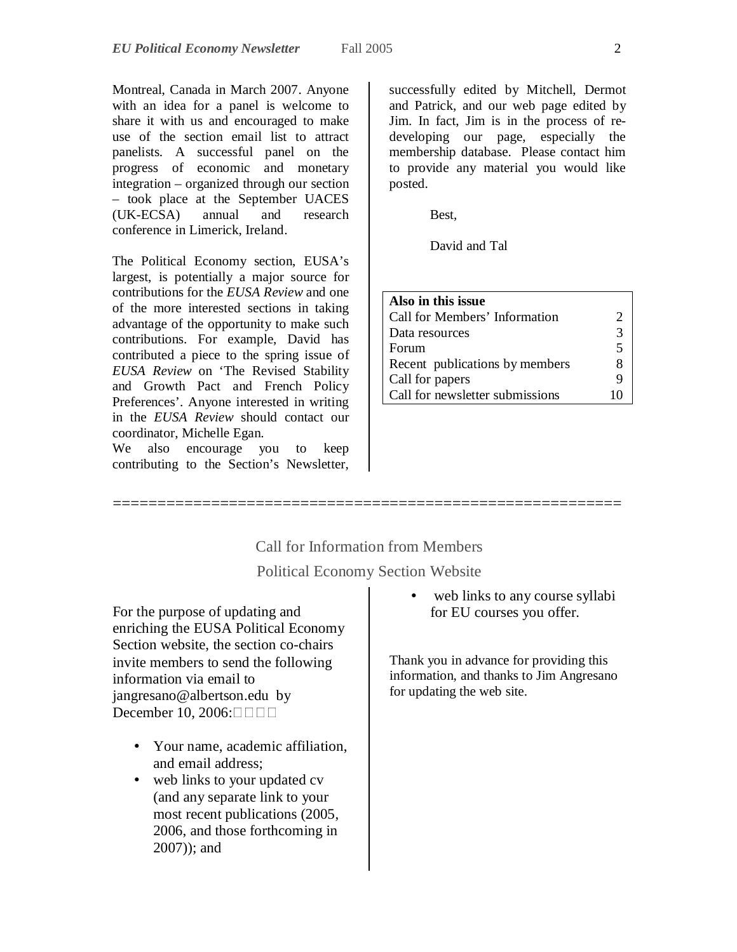Montreal, Canada in March 2007. Anyone with an idea for a panel is welcome to share it with us and encouraged to make use of the section email list to attract panelists. A successful panel on the progress of economic and monetary integration – organized through our section – took place at the September UACES (UK-ECSA) annual and research conference in Limerick, Ireland.

The Political Economy section, EUSA's largest, is potentially a major source for contributions for the *EUSA Review* and one of the more interested sections in taking advantage of the opportunity to make such contributions. For example, David has contributed a piece to the spring issue of *EUSA Review* on 'The Revised Stability and Growth Pact and French Policy Preferences'. Anyone interested in writing in the *EUSA Review* should contact our coordinator, Michelle Egan.

We also encourage you to keep contributing to the Section's Newsletter,

successfully edited by Mitchell, Dermot and Patrick, and our web page edited by Jim. In fact, Jim is in the process of redeveloping our page, especially the membership database. Please contact him to provide any material you would like posted.

Best,

David and Tal

| Also in this issue              |        |
|---------------------------------|--------|
| Call for Members' Information   |        |
| Data resources                  | 3      |
| Forum                           | $\sim$ |
| Recent publications by members  | 8      |
| Call for papers                 | q      |
| Call for newsletter submissions | Ħ      |

# Call for Information from Members Political Economy Section Website

=========================================================

For the purpose of updating and enriching the EUSA Political Economy Section website, the section co-chairs invite members to send the following information via email to jangresano@albertson.edu by December 10, 2006:□□□□

- Your name, academic affiliation, and email address;
- web links to your updated cv (and any separate link to your most recent publications (2005, 2006, and those forthcoming in 2007)); and

web links to any course syllabi for EU courses you offer.

Thank you in advance for providing this information, and thanks to Jim Angresano for updating the web site.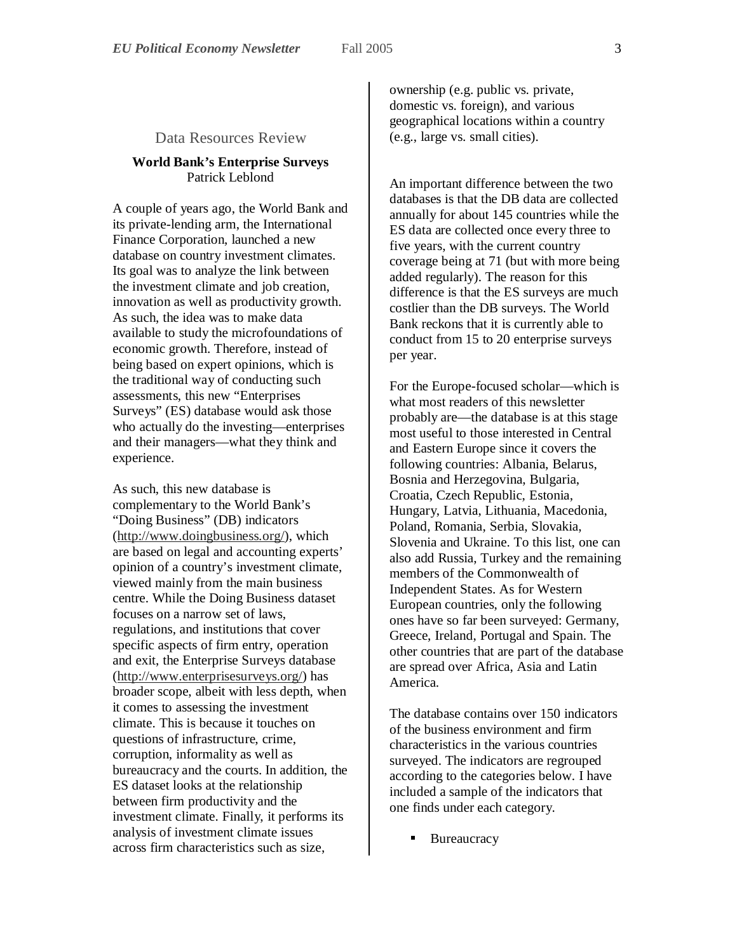#### Data Resources Review

#### **World Bank's Enterprise Surveys**  Patrick Leblond

A couple of years ago, the World Bank and its private-lending arm, the International Finance Corporation, launched a new database on country investment climates. Its goal was to analyze the link between the investment climate and job creation, innovation as well as productivity growth. As such, the idea was to make data available to study the microfoundations of economic growth. Therefore, instead of being based on expert opinions, which is the traditional way of conducting such assessments, this new "Enterprises Surveys" (ES) database would ask those who actually do the investing—enterprises and their managers—what they think and experience.

As such, this new database is complementary to the World Bank's "Doing Business" (DB) indicators (http://www.doingbusiness.org/), which are based on legal and accounting experts' opinion of a country's investment climate, viewed mainly from the main business centre. While the Doing Business dataset focuses on a narrow set of laws, regulations, and institutions that cover specific aspects of firm entry, operation and exit, the Enterprise Surveys database (http://www.enterprisesurveys.org/) has broader scope, albeit with less depth, when it comes to assessing the investment climate. This is because it touches on questions of infrastructure, crime, corruption, informality as well as bureaucracy and the courts. In addition, the ES dataset looks at the relationship between firm productivity and the investment climate. Finally, it performs its analysis of investment climate issues across firm characteristics such as size,

ownership (e.g. public vs. private, domestic vs. foreign), and various geographical locations within a country (e.g., large vs. small cities).

An important difference between the two databases is that the DB data are collected annually for about 145 countries while the ES data are collected once every three to five years, with the current country coverage being at 71 (but with more being added regularly). The reason for this difference is that the ES surveys are much costlier than the DB surveys. The World Bank reckons that it is currently able to conduct from 15 to 20 enterprise surveys per year.

For the Europe-focused scholar—which is what most readers of this newsletter probably are—the database is at this stage most useful to those interested in Central and Eastern Europe since it covers the following countries: Albania, Belarus, Bosnia and Herzegovina, Bulgaria, Croatia, Czech Republic, Estonia, Hungary, Latvia, Lithuania, Macedonia, Poland, Romania, Serbia, Slovakia, Slovenia and Ukraine. To this list, one can also add Russia, Turkey and the remaining members of the Commonwealth of Independent States. As for Western European countries, only the following ones have so far been surveyed: Germany, Greece, Ireland, Portugal and Spain. The other countries that are part of the database are spread over Africa, Asia and Latin America.

The database contains over 150 indicators of the business environment and firm characteristics in the various countries surveyed. The indicators are regrouped according to the categories below. I have included a sample of the indicators that one finds under each category.

**Bureaucracy**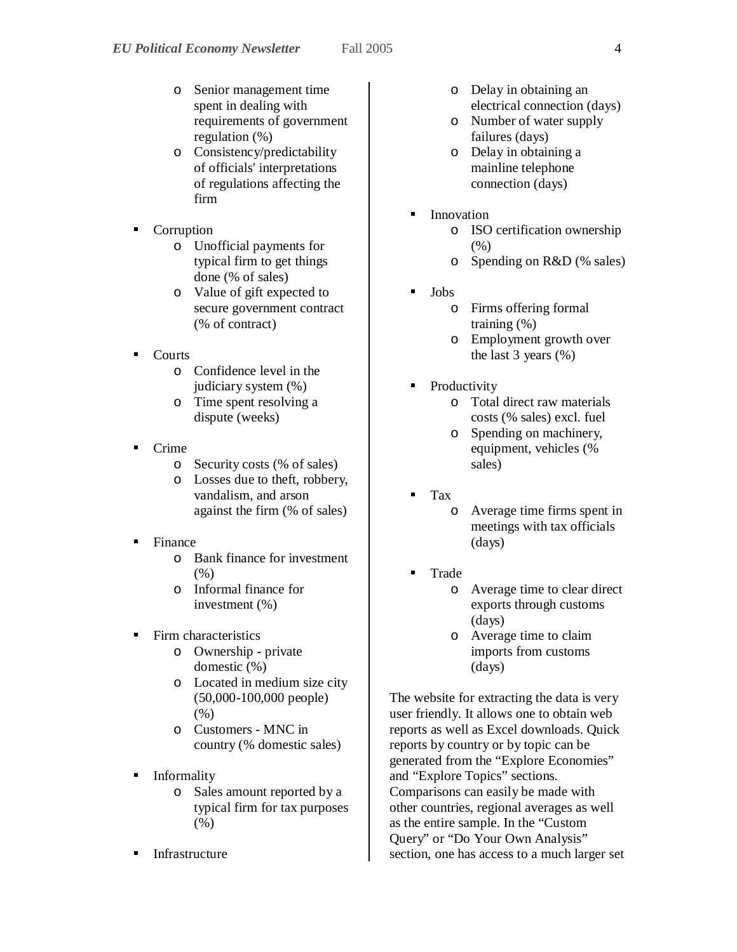- o Senior management time spent in dealing with requirements of government regulation (%)
- o Consistency/predictability of officials' interpretations of regulations affecting the firm
- Corruption
	- o Unofficial payments for typical firm to get things done (% of sales)
	- o Value of gift expected to secure government contract (% of contract)
- **Courts** 
	- o Confidence level in the judiciary system (%)
	- o Time spent resolving a dispute (weeks)
- Crime
	- o Security costs (% of sales)
	- o Losses due to theft, robbery, vandalism, and arson against the firm (% of sales)
- **Finance** 
	- o Bank finance for investment (%)
	- o Informal finance for investment (%)
- **Firm characteristics** 
	- o Ownership private domestic (%)
	- o Located in medium size city (50,000-100,000 people) (%)
	- o Customers MNC in country (% domestic sales)
- **Informality** 
	- o Sales amount reported by a typical firm for tax purposes (%)
- Infrastructure
- o Delay in obtaining an electrical connection (days)
- o Number of water supply failures (days)
- o Delay in obtaining a mainline telephone connection (days)
- **Innovation** 
	- o ISO certification ownership  $(%)$
	- o Spending on R&D (% sales)
- Jobs
	- o Firms offering formal training (%)
	- o Employment growth over the last 3 years (%)
- Productivity
	- o Total direct raw materials costs (% sales) excl. fuel
	- o Spending on machinery, equipment, vehicles (% sales)
- Tax
	- o Average time firms spent in meetings with tax officials (days)
- Trade
	- Average time to clear direct exports through customs (days)
	- o Average time to claim imports from customs (days)

The website for extracting the data is very user friendly. It allows one to obtain web reports as well as Excel downloads. Quick reports by country or by topic can be generated from the "Explore Economies" and "Explore Topics" sections. Comparisons can easily be made with other countries, regional averages as well as the entire sample. In the "Custom Query" or "Do Your Own Analysis" section, one has access to a much larger set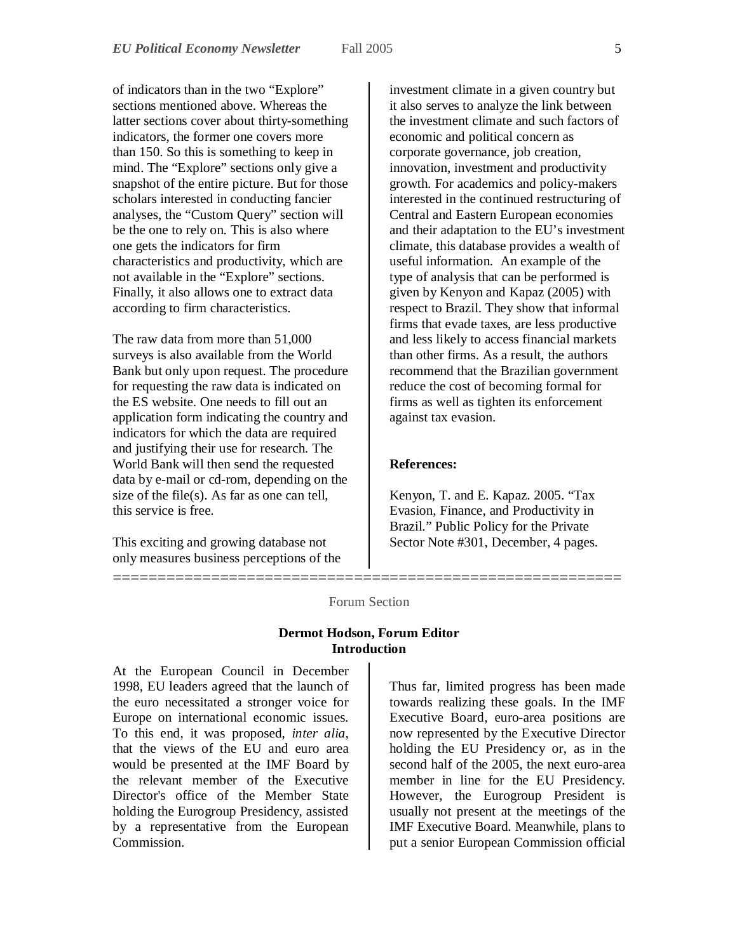of indicators than in the two "Explore" sections mentioned above. Whereas the latter sections cover about thirty-something indicators, the former one covers more than 150. So this is something to keep in mind. The "Explore" sections only give a snapshot of the entire picture. But for those scholars interested in conducting fancier analyses, the "Custom Query" section will be the one to rely on. This is also where one gets the indicators for firm characteristics and productivity, which are not available in the "Explore" sections. Finally, it also allows one to extract data according to firm characteristics.

The raw data from more than 51,000 surveys is also available from the World Bank but only upon request. The procedure for requesting the raw data is indicated on the ES website. One needs to fill out an application form indicating the country and indicators for which the data are required and justifying their use for research. The World Bank will then send the requested data by e-mail or cd-rom, depending on the size of the file(s). As far as one can tell, this service is free.

This exciting and growing database not only measures business perceptions of the

investment climate in a given country but it also serves to analyze the link between the investment climate and such factors of economic and political concern as corporate governance, job creation, innovation, investment and productivity growth. For academics and policy-makers interested in the continued restructuring of Central and Eastern European economies and their adaptation to the EU's investment climate, this database provides a wealth of useful information. An example of the type of analysis that can be performed is given by Kenyon and Kapaz (2005) with respect to Brazil. They show that informal firms that evade taxes, are less productive and less likely to access financial markets than other firms. As a result, the authors recommend that the Brazilian government reduce the cost of becoming formal for firms as well as tighten its enforcement against tax evasion.

#### **References:**

Kenyon, T. and E. Kapaz. 2005. "Tax Evasion, Finance, and Productivity in Brazil." Public Policy for the Private Sector Note #301, December, 4 pages.

## ========================================================= Forum Section

### **Dermot Hodson, Forum Editor Introduction**

At the European Council in December 1998, EU leaders agreed that the launch of the euro necessitated a stronger voice for Europe on international economic issues. To this end, it was proposed, *inter alia*, that the views of the EU and euro area would be presented at the IMF Board by the relevant member of the Executive Director's office of the Member State holding the Eurogroup Presidency, assisted by a representative from the European **Commission** 

Thus far, limited progress has been made towards realizing these goals. In the IMF Executive Board, euro-area positions are now represented by the Executive Director holding the EU Presidency or, as in the second half of the 2005, the next euro-area member in line for the EU Presidency. However, the Eurogroup President is usually not present at the meetings of the IMF Executive Board. Meanwhile, plans to put a senior European Commission official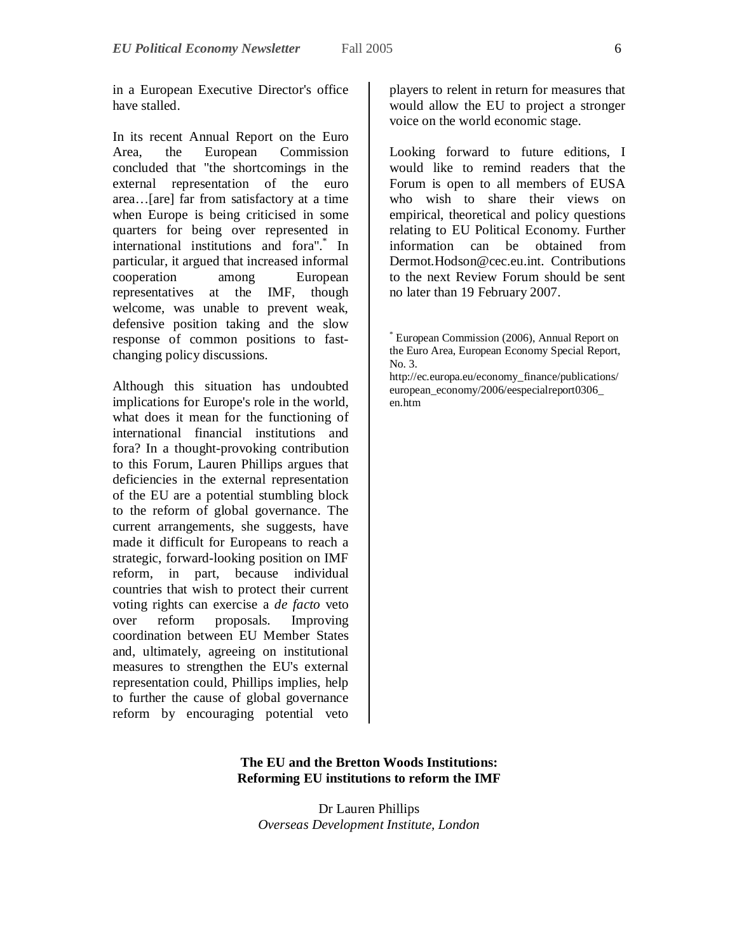in a European Executive Director's office have stalled.

In its recent Annual Report on the Euro Area, the European Commission concluded that "the shortcomings in the external representation of the euro area…[are] far from satisfactory at a time when Europe is being criticised in some quarters for being over represented in international institutions and fora".\* In particular, it argued that increased informal cooperation among European representatives at the IMF, though welcome, was unable to prevent weak, defensive position taking and the slow response of common positions to fastchanging policy discussions.

Although this situation has undoubted implications for Europe's role in the world, what does it mean for the functioning of international financial institutions and fora? In a thought-provoking contribution to this Forum, Lauren Phillips argues that deficiencies in the external representation of the EU are a potential stumbling block to the reform of global governance. The current arrangements, she suggests, have made it difficult for Europeans to reach a strategic, forward-looking position on IMF reform, in part, because individual countries that wish to protect their current voting rights can exercise a *de facto* veto over reform proposals. Improving coordination between EU Member States and, ultimately, agreeing on institutional measures to strengthen the EU's external representation could, Phillips implies, help to further the cause of global governance reform by encouraging potential veto

players to relent in return for measures that would allow the EU to project a stronger voice on the world economic stage.

Looking forward to future editions, I would like to remind readers that the Forum is open to all members of EUSA who wish to share their views on empirical, theoretical and policy questions relating to EU Political Economy. Further information can be obtained from Dermot.Hodson@cec.eu.int. Contributions to the next Review Forum should be sent no later than 19 February 2007.

http://ec.europa.eu/economy\_finance/publications/ european\_economy/2006/eespecialreport0306\_ en.htm

#### **The EU and the Bretton Woods Institutions: Reforming EU institutions to reform the IMF**

Dr Lauren Phillips *Overseas Development Institute, London*

<sup>\*</sup> European Commission (2006), Annual Report on the Euro Area, European Economy Special Report, No. 3.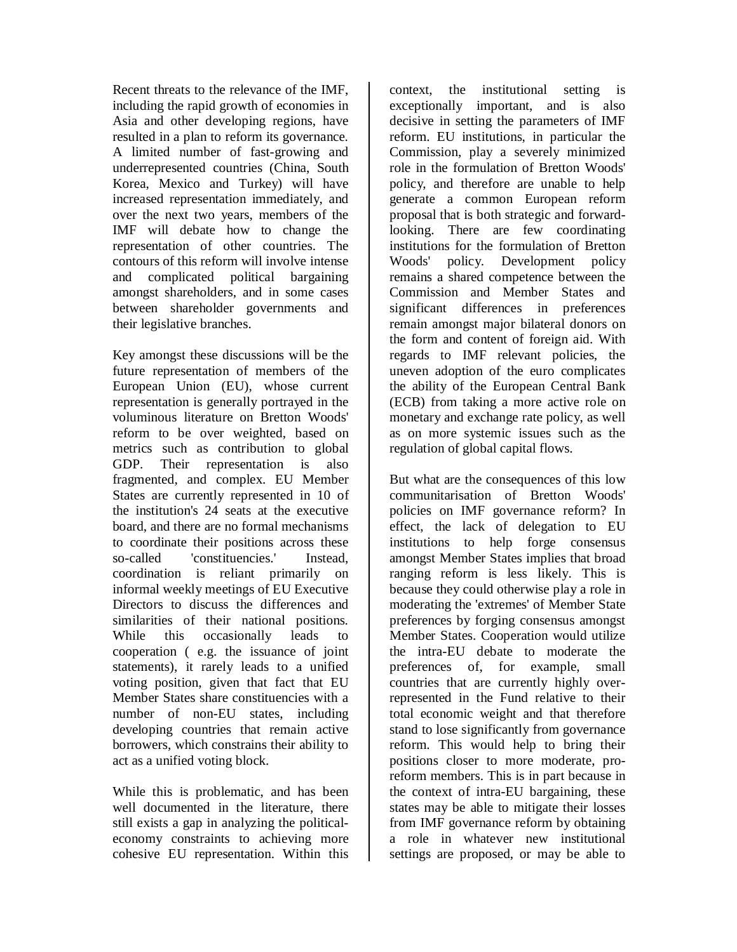Recent threats to the relevance of the IMF, including the rapid growth of economies in Asia and other developing regions, have resulted in a plan to reform its governance. A limited number of fast-growing and underrepresented countries (China, South Korea, Mexico and Turkey) will have increased representation immediately, and over the next two years, members of the IMF will debate how to change the representation of other countries. The contours of this reform will involve intense and complicated political bargaining amongst shareholders, and in some cases between shareholder governments and their legislative branches.

Key amongst these discussions will be the future representation of members of the European Union (EU), whose current representation is generally portrayed in the voluminous literature on Bretton Woods' reform to be over weighted, based on metrics such as contribution to global GDP. Their representation is also fragmented, and complex. EU Member States are currently represented in 10 of the institution's 24 seats at the executive board, and there are no formal mechanisms to coordinate their positions across these so-called 'constituencies.' Instead, coordination is reliant primarily on informal weekly meetings of EU Executive Directors to discuss the differences and similarities of their national positions. While this occasionally leads to cooperation ( e.g. the issuance of joint statements), it rarely leads to a unified voting position, given that fact that EU Member States share constituencies with a number of non-EU states, including developing countries that remain active borrowers, which constrains their ability to act as a unified voting block.

While this is problematic, and has been well documented in the literature, there still exists a gap in analyzing the politicaleconomy constraints to achieving more cohesive EU representation. Within this

context, the institutional setting is exceptionally important, and is also decisive in setting the parameters of IMF reform. EU institutions, in particular the Commission, play a severely minimized role in the formulation of Bretton Woods' policy, and therefore are unable to help generate a common European reform proposal that is both strategic and forwardlooking. There are few coordinating institutions for the formulation of Bretton Woods' policy. Development policy remains a shared competence between the Commission and Member States and significant differences in preferences remain amongst major bilateral donors on the form and content of foreign aid. With regards to IMF relevant policies, the uneven adoption of the euro complicates the ability of the European Central Bank (ECB) from taking a more active role on monetary and exchange rate policy, as well as on more systemic issues such as the regulation of global capital flows.

But what are the consequences of this low communitarisation of Bretton Woods' policies on IMF governance reform? In effect, the lack of delegation to EU institutions to help forge consensus amongst Member States implies that broad ranging reform is less likely. This is because they could otherwise play a role in moderating the 'extremes' of Member State preferences by forging consensus amongst Member States. Cooperation would utilize the intra-EU debate to moderate the preferences of, for example, small countries that are currently highly overrepresented in the Fund relative to their total economic weight and that therefore stand to lose significantly from governance reform. This would help to bring their positions closer to more moderate, proreform members. This is in part because in the context of intra-EU bargaining, these states may be able to mitigate their losses from IMF governance reform by obtaining a role in whatever new institutional settings are proposed, or may be able to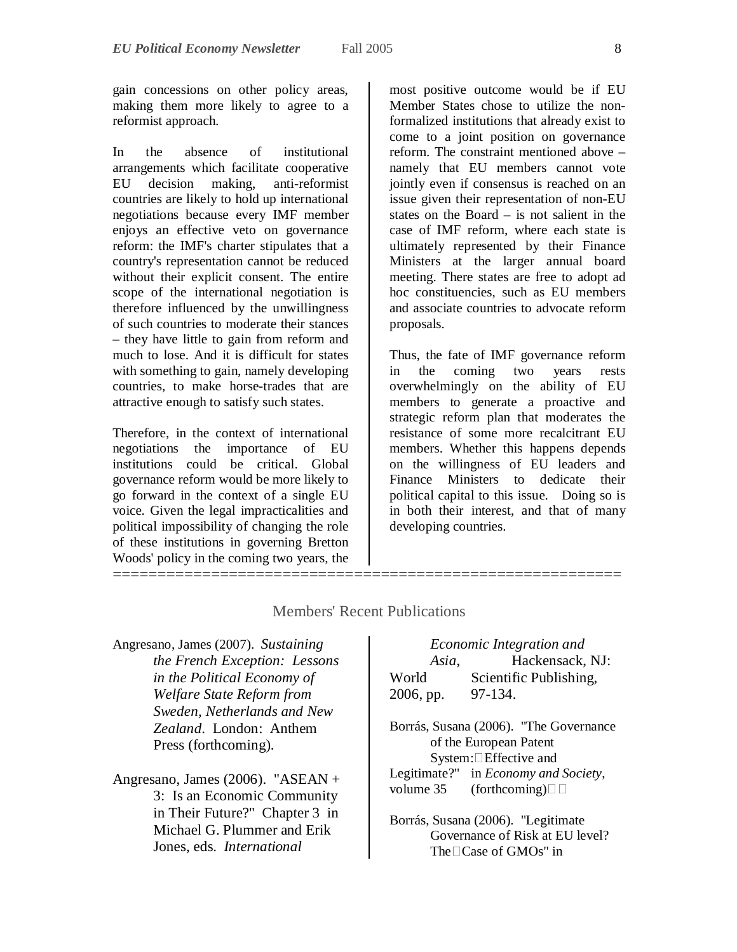gain concessions on other policy areas, making them more likely to agree to a reformist approach.

In the absence of institutional arrangements which facilitate cooperative EU decision making, anti-reformist countries are likely to hold up international negotiations because every IMF member enjoys an effective veto on governance reform: the IMF's charter stipulates that a country's representation cannot be reduced without their explicit consent. The entire scope of the international negotiation is therefore influenced by the unwillingness of such countries to moderate their stances – they have little to gain from reform and much to lose. And it is difficult for states with something to gain, namely developing countries, to make horse-trades that are attractive enough to satisfy such states.

Therefore, in the context of international negotiations the importance of EU institutions could be critical. Global governance reform would be more likely to go forward in the context of a single EU voice. Given the legal impracticalities and political impossibility of changing the role of these institutions in governing Bretton Woods' policy in the coming two years, the =========================================================

most positive outcome would be if EU Member States chose to utilize the nonformalized institutions that already exist to come to a joint position on governance reform. The constraint mentioned above – namely that EU members cannot vote jointly even if consensus is reached on an issue given their representation of non-EU states on the Board – is not salient in the case of IMF reform, where each state is ultimately represented by their Finance Ministers at the larger annual board meeting. There states are free to adopt ad hoc constituencies, such as EU members and associate countries to advocate reform proposals.

Thus, the fate of IMF governance reform in the coming two years rests overwhelmingly on the ability of EU members to generate a proactive and strategic reform plan that moderates the resistance of some more recalcitrant EU members. Whether this happens depends on the willingness of EU leaders and Finance Ministers to dedicate their political capital to this issue. Doing so is in both their interest, and that of many developing countries.

| Angresano, James (2007). Sustaining |
|-------------------------------------|
| the French Exception: Lessons       |
| in the Political Economy of         |
| Welfare State Reform from           |
| Sweden, Netherlands and New         |
| Zealand. London: Anthem             |
| Press (forthcoming).                |
|                                     |

Members' Recent Publications

## Angresano, James (2006). "ASEAN + 3: Is an Economic Community in Their Future?" Chapter 3 in Michael G. Plummer and Erik Jones, eds. *International*

# *Economic Integration and Asia*, Hackensack, NJ: World Scientific Publishing, 2006, pp. 97-134. Borrás, Susana (2006). "The Governance of the European Patent System:Effective and Legitimate?" in *Economy and Society*, volume 35 (forthcoming) $\Box$ Borrás, Susana (2006). "Legitimate Governance of Risk at EU level? The□Case of GMOs" in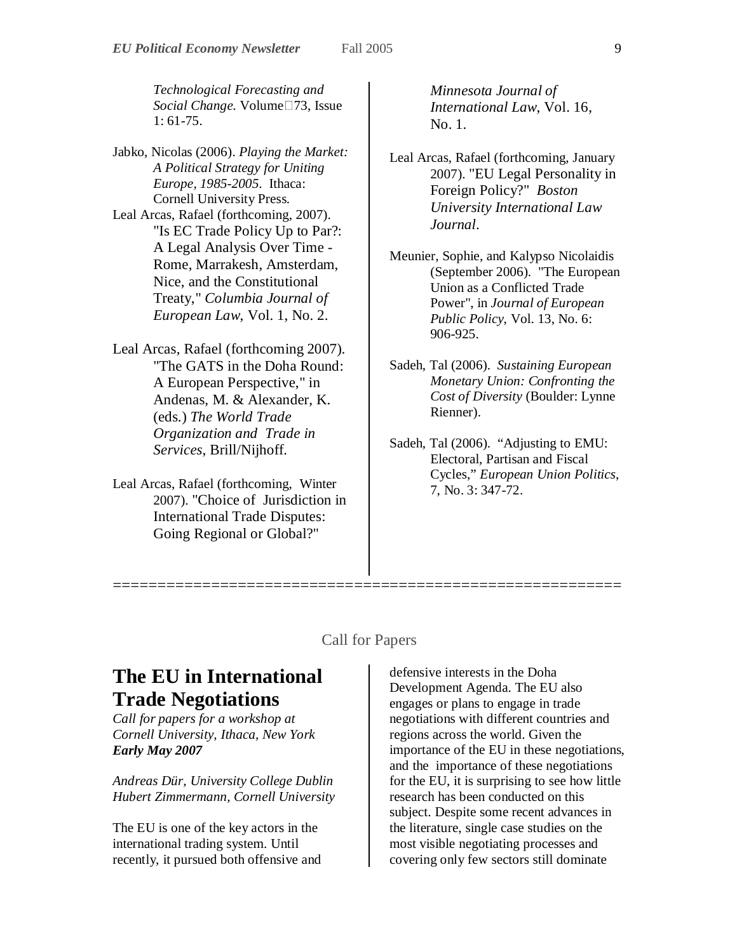*Technological Forecasting and Social Change*. Volume□73, Issue 1: 61-75.

Jabko, Nicolas (2006). *Playing the Market: A Political Strategy for Uniting Europe, 1985-2005*. Ithaca: Cornell University Press. Leal Arcas, Rafael (forthcoming, 2007). "Is EC Trade Policy Up to Par?: A Legal Analysis Over Time - Rome, Marrakesh, Amsterdam, Nice, and the Constitutional Treaty," *Columbia Journal of European Law*, Vol. 1, No. 2.

- Leal Arcas, Rafael (forthcoming 2007). "The GATS in the Doha Round: A European Perspective," in Andenas, M. & Alexander, K. (eds.) *The World Trade Organization and Trade in Services*, Brill/Nijhoff.
- Leal Arcas, Rafael (forthcoming, Winter 2007). "Choice of Jurisdiction in International Trade Disputes: Going Regional or Global?"

*Minnesota Journal of International Law*, Vol. 16, No. 1.

- Leal Arcas, Rafael (forthcoming, January 2007). "EU Legal Personality in Foreign Policy?" *Boston University International Law Journal*.
- Meunier, Sophie, and Kalypso Nicolaidis (September 2006). "The European Union as a Conflicted Trade Power", in *Journal of European Public Policy*, Vol. 13, No. 6: 906-925.
- Sadeh, Tal (2006). *Sustaining European Monetary Union: Confronting the Cost of Diversity* (Boulder: Lynne Rienner).
- Sadeh, Tal (2006). "Adjusting to EMU: Electoral, Partisan and Fiscal Cycles," *European Union Politics*, 7, No. 3: 347-72.

## Call for Papers

=========================================================

# **The EU in International Trade Negotiations**

*Call for papers for a workshop at Cornell University, Ithaca, New York Early May 2007*

*Andreas Dür, University College Dublin Hubert Zimmermann, Cornell University*

The EU is one of the key actors in the international trading system. Until recently, it pursued both offensive and

defensive interests in the Doha Development Agenda. The EU also engages or plans to engage in trade negotiations with different countries and regions across the world. Given the importance of the EU in these negotiations, and the importance of these negotiations for the EU, it is surprising to see how little research has been conducted on this subject. Despite some recent advances in the literature, single case studies on the most visible negotiating processes and covering only few sectors still dominate